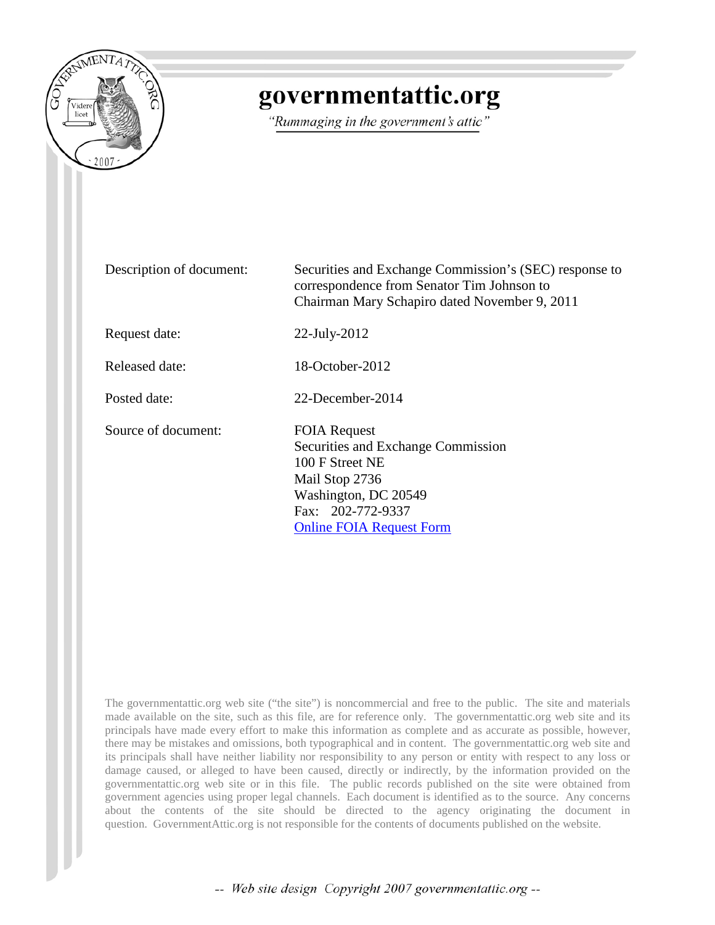

# governmentattic.org

"Rummaging in the government's attic"

| Description of document: | Securities and Exchange Commission's (SEC) response to<br>correspondence from Senator Tim Johnson to<br>Chairman Mary Schapiro dated November 9, 2011                          |
|--------------------------|--------------------------------------------------------------------------------------------------------------------------------------------------------------------------------|
| Request date:            | $22$ -July- $2012$                                                                                                                                                             |
| Released date:           | 18-October-2012                                                                                                                                                                |
| Posted date:             | 22-December-2014                                                                                                                                                               |
| Source of document:      | <b>FOIA Request</b><br>Securities and Exchange Commission<br>100 F Street NE<br>Mail Stop 2736<br>Washington, DC 20549<br>Fax: 202-772-9337<br><b>Online FOIA Request Form</b> |

The governmentattic.org web site ("the site") is noncommercial and free to the public. The site and materials made available on the site, such as this file, are for reference only. The governmentattic.org web site and its principals have made every effort to make this information as complete and as accurate as possible, however, there may be mistakes and omissions, both typographical and in content. The governmentattic.org web site and its principals shall have neither liability nor responsibility to any person or entity with respect to any loss or damage caused, or alleged to have been caused, directly or indirectly, by the information provided on the governmentattic.org web site or in this file. The public records published on the site were obtained from government agencies using proper legal channels. Each document is identified as to the source. Any concerns about the contents of the site should be directed to the agency originating the document in question. GovernmentAttic.org is not responsible for the contents of documents published on the website.

-- Web site design Copyright 2007 governmentattic.org --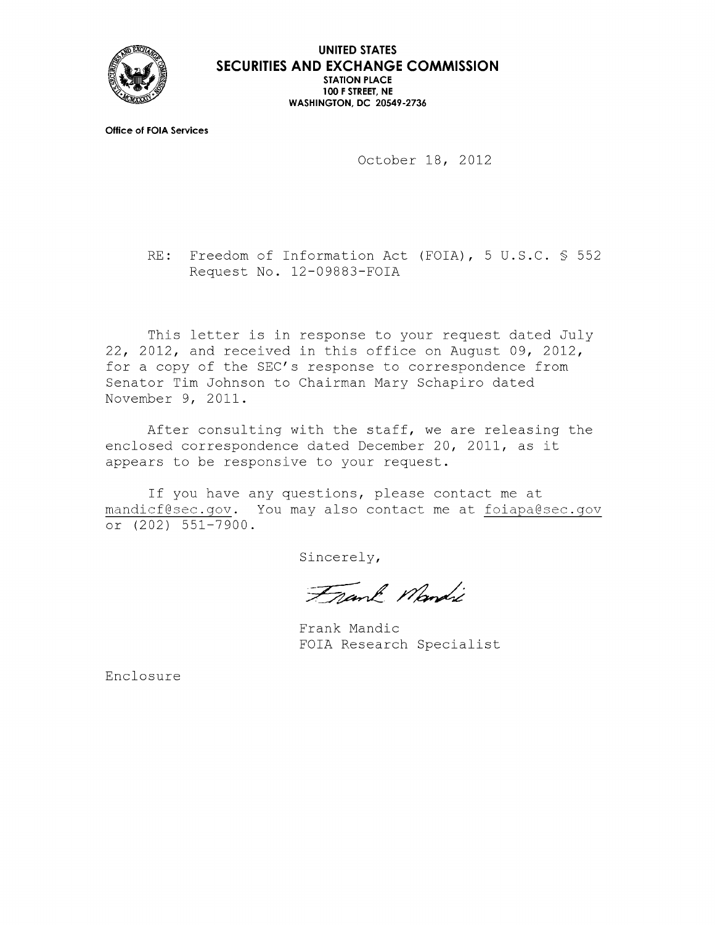

**UNITED STATES SECURITIES AND EXCHANGE COMMISSION STATION PLACE 100 F STREET, NE WASHINGTON, DC 20549-2736** 

**Office of FOIA Services** 

October 18, 2012

RE: Freedom of Information Act (FOIA), 5 U.S.C. § 552 Request No. 12-09883-FOIA

This letter is in response to your request dated July 22, 2012, and received in this office on August 09, 2012, for a copy of the SEC's response to correspondence from Senator Tim Johnson to Chairman Mary Schapiro dated November 9, 2011.

After consulting with the staff, we are releasing the enclosed correspondence dated December 20, 2011, as it appears to be responsive to your request.

If you have any questions, please contact me at mandicf@sec.gov. You may also contact me at foiapa@sec.gov or  $(202)$  551-7900.

Sincerely,

Frank Mandi

Frank Mandie FOIA Research Specialist

Enclosure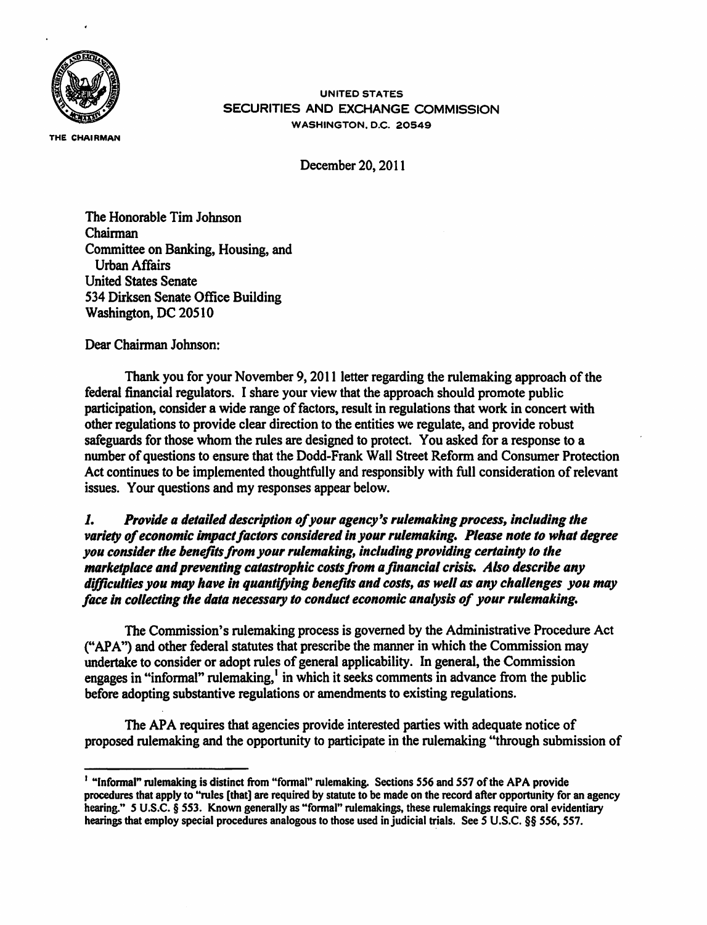

THE CHAIRMAN

UNITED STATES SECURITIES AND EXCHANGE COMMISSION WASHINGTON. O.C. 20549

December 20, 2011

The Honorable Tim Johnson Chairman Committee on Banking, Housing, and Urban Affairs United States Senate 534 Dirksen Senate Office Building Washington, DC 20510

Dear Chairman Johnson:

Thank you for your November 9, 2011 letter regarding the rulemaking approach of the federal financial regulators. I share your view that the approach should promote public participation, consider a wide range of factors, result in regulations that work in concert with other regulations to provide clear direction to the entities we regulate, and provide robust safeguards for those whom the rules are designed to protect. You asked for a response to a number of questions to ensure that the Dodd-Frank Wall Street Reform and Consumer Protection Act continues to be implemented thoughtfully and responsibly with full consideration of relevant issues. Your questions and my responses appear below.

*1. Provide a detailed description of your agency's rulemaking process, including the*  variety of economic impact factors considered in your rulemaking. Please note to what degree *you consider the benefits from your rulemaking, including providing certainty to the marketplace and preventing catastrophic costs from a financial crisis. Also describe any difficulties you may have in quantifying benefits and costs, as well as any challenges you may face In collecting the data necessary to conduct economic analysis of your rulemaking.* 

The Commission's rulemaking process is governed by the Administrative Procedure Act ("APA") and other federal statutes that prescribe the manner in which the Commission may undertake to consider or adopt rules of general applicability. In general, the Commission engages in "informal" rulemaking,<sup>1</sup> in which it seeks comments in advance from the public before adopting substantive regulations or amendments to existing regulations.

The APA requires that agencies provide interested parties with adequate notice of proposed rulemaking and the opportunity to participate in the rulemaking "through submission of

<sup>&</sup>lt;sup>1</sup> "Informal" rulemaking is distinct from "formal" rulemaking. Sections 556 and 557 of the APA provide procedures that apply to ''rules [that] are required by statute to be made on the record after opportunity for an agency hearing." 5 U.S.C. § 553. Known generally as "fonnal" rulemakings, these rulemakings require oral evidentiary hearings that employ special procedures analogous to those used in judicial trials. See *S* U.S.C. §§ *556,* 557.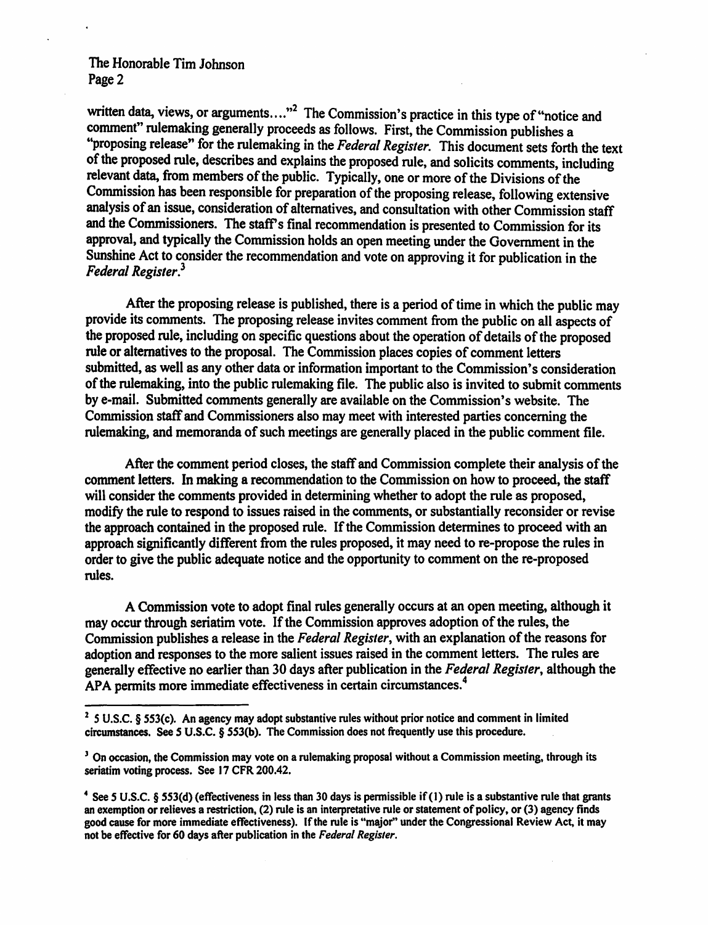written data, views, or arguments...."<sup>2</sup> The Commission's practice in this type of "notice and comment" rulemaking generally proceeds as follows. First, the Commission publishes a "proposing release" for the rulemaking in the *Federal Register.* This document sets forth the text of the proposed rule, describes and explains the proposed rule, and solicits comments, including relevant data, from members of the public. Typically, one or more of the Divisions of the Commission has been responsible for preparation of the proposing release, following extensive analysis of an issue, consideration of alternatives, and consultation with other Commission staff and the Commissioners. The staff's final recommendation is presented to Commission for its approval, and typically the Commission holds an open meeting under the Government in the Sunshine Act to consider the recommendation and vote on approving it for publication in the *Federal Register.*<sup>3</sup>

After the proposing release is published, there is a period of time in which the public may provide its comments. The proposing release invites comment from the public on all aspects of the proposed rule, including on specific questions about the operation of details of the proposed rule or alternatives to the proposal. The Commission places copies of comment letters submitted, as well as any other data or information important to the Commission's consideration of the rulemaking, into the public rulemaking file. The public also is invited to submit comments by e-mail. Submitted comments generally are available on the Commission's website. The Commission staff and Commissioners also may meet with interested parties concerning the rulemaking, and memoranda of such meetings are generally placed in the public comment file.

After the comment period closes, the staff and Commission complete their analysis of the comment letters. In making a recommendation to the Commission on how to proceed, the staff will consider the comments provided in determining whether to adopt the rule as proposed, modify the rule to respond to issues raised in the comments, or substantially reconsider or revise the approach contained in the proposed rule. If the Commission determines to proceed with an approach significantly different from the rules proposed, it may need to re-propose the rules in order to give the public adequate notice and the opportunity to comment on the re-proposed rules.

A Commission vote to adopt final rules generally occurs at an open meeting, although it may occur through seriatim vote. If the Commission approves adoption of the rules, the Commission publishes a release in the *Federal Register,* with an explanation of the reasons for adoption and responses to the more salient issues raised in the comment letters. The rules are generally effective no earlier than 30 days after publication in the *Federal Register,* although the APA permits more immediate effectiveness in certain circumstances. 4

<sup>2</sup>*S* U.S.C. § 553(c). An agency may adopt substantive rules without prior notice and comment in limited circumstances. See *S* U.S.C. § 553(b). The Commission does not frequently use this procedure.

<sup>&</sup>lt;sup>3</sup> On occasion, the Commission may vote on a rulemaking proposal without a Commission meeting, through its seriatim voting process. See 17 CFR 200.42.

<sup>4</sup>See *S* U.S.C. § SSJ(d) (effectiveness in less than 30 days is pennissible if (1) rule is a substantive rule that grants an exemption or relieves a restriction, (2) rule is an interpretative rule or statement of policy, or (3) agency finds good cause for more immediate effectiveness). If the rule is "major" under the Congressional Review Act, it may not be effective for *60* days after publication in the *Federal Register.*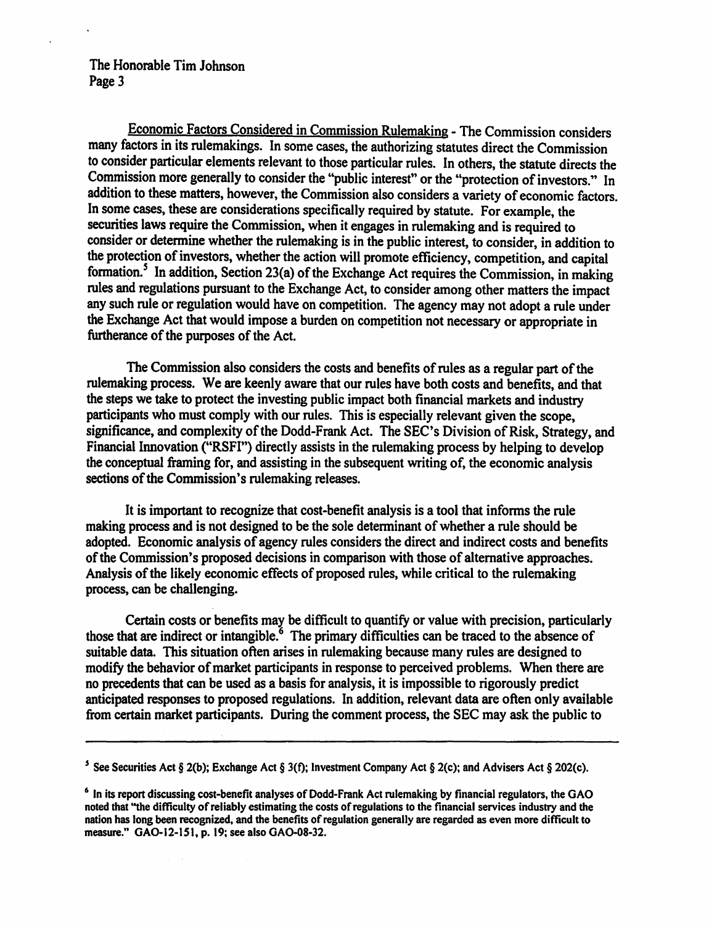Economic Factors Considered in Commission Rulemaking - The Commission considers many factors in its rulemakings. In some cases, the authorizing statutes direct the Commission to consider particular elements relevant to those particular rules. In others, the statute directs the Commission more generally to consider the "public interest" or the "protection of investors." In addition to these matters, however, the Commission also considers a variety of economic factors. In some cases, these are considerations specifically required by statute. For example, the securities laws require the Commission, when it engages in rulemaking and is required to consider or determine whether the rulemaking is in the public interest, to consider, in addition to the protection of investors, whether the action will promote efficiency, competition, and capital formation.<sup>5</sup> In addition, Section 23(a) of the Exchange Act requires the Commission, in making rules and regulations pursuant to the Exchange Act, to consider among other matters the impact any such rule or regulation would have on competition. The agency may not adopt a rule under the Exchange Act that would impose a burden on competition not necessary or appropriate in furtherance of the purposes of the Act.

The Commission also considers the costs and benefits of rules as a regular part of the rulemaking process. We are keenly aware that our rules have both costs and benefits, and that the steps we take to protect the investing public impact both financial markets and industry participants who must comply with our rules. This is especially relevant given the scope, significance, and complexity of the Dodd-Frank Act. The SEC's Division of Risk, Strategy, and Financial Innovation ("RSFI") directly assists in the rulemaking process by helping to develop the conceptual framing for, and assisting in the subsequent writing of, the economic analysis sections of the Commission's rulemaking releases.

It is important to recognize that cost-benefit analysis is a tool that informs the rule making process and is not designed to be the sole determinant of whether a rule should be adopted. Economic analysis of agency rules considers the direct and indirect costs and benefits of the Commission's proposed decisions in comparison with those of alternative approaches. Analysis of the likely economic effects of proposed rules, while critical to the rulemaking process, can be challenging.

Certain costs or benefits may be difficult to quantify or value with precision, particularly those that are indirect or intangible. $6$  The primary difficulties can be traced to the absence of suitable data. This situation often arises in rulemaking because many rules are designed to modify the behavior of market participants in response to perceived problems. When there are no precedents that can be used as a basis for analysis, it is impossible to rigorously predict anticipated responses to proposed regulations. In addition, relevant data are often only available from certain market participants. During the comment process, the SEC may ask the public to

<sup>5</sup> See Securities Act § 2(b); Exchange Act § 3(f); Investment Company Act § 2(c); and Advisers Act § 202(c).

<sup>&</sup>lt;sup>6</sup> In its report discussing cost-benefit analyses of Dodd-Frank Act rulemaking by financial regulators, the GAO noted that "the difficulty of reliably estimating the costs of regulations to the financial services industry and the nation has Jong been recognized, and the benefits of regulation generally are regarded as even more difficult to measure." GAO-12-151, p. 19; see also GAO-08-32.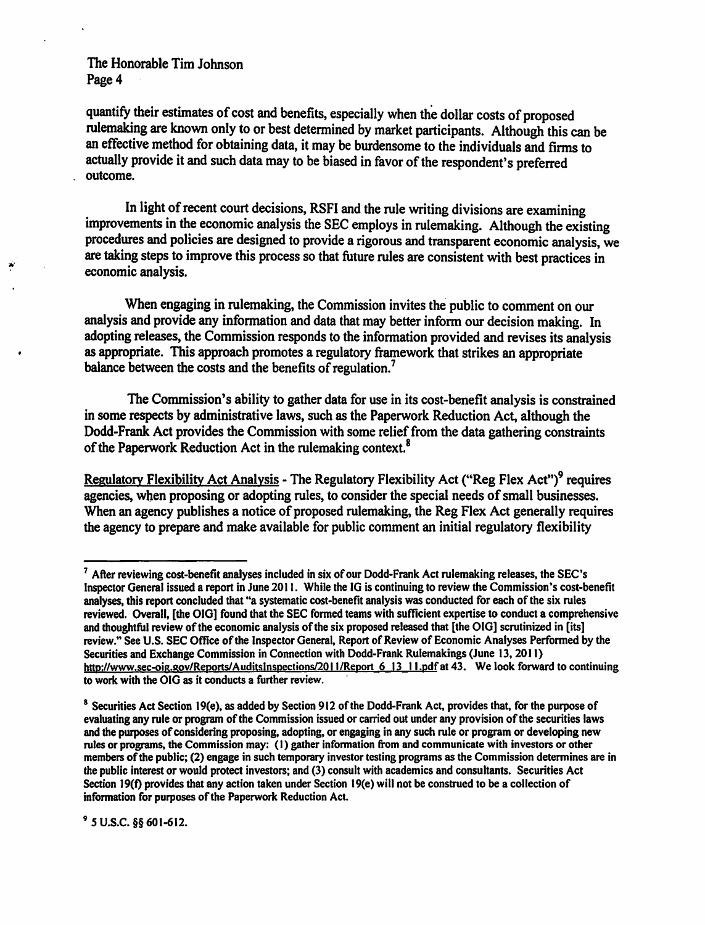.,..

quantify their estimates of cost and benefits, especially when the dollar costs of proposed rulemaking are known only to or best determined by market participants. Although this can be an effective method for obtaining data, it may be burdensome to the individuals and firms to actually provide it and such data may to be biased in favor of the respondent's preferred outcome.

In light of recent court decisions, RSFI and the rule writing divisions are examining improvements in the economic analysis the SEC employs in rulemaking. Although the existing procedures and policies are designed to provide a rigorous and transparent economic analysis, we are taking steps to improve this process so that future rules are consistent with best practices in economic analysis.

When engaging in rulemaking, the Commission invites the public to comment on our analysis and provide any information and data that may better inform our decision making. In adopting releases, the Commission responds to the information provided and revises its analysis as appropriate. This approach promotes a regulatory framework that strikes an appropriate balance between the costs and the benefits of regulation.<sup>7</sup>

The Commission's ability to gather data for use in its cost-benefit analysis is constrained in some respects by administrative laws, such as the Paperwork Reduction Act, although the Dodd-Frank Act provides the Commission with some relief from the data gathering constraints of the Paperwork Reduction Act in the rulemaking context.<sup>8</sup>

Regulatory Flexibility Act Analysis - The Regulatory Flexibility Act ("Reg Flex Act")<sup>9</sup> requires agencies, when proposing or adopting rules, to consider the special needs of small businesses. When an agency publishes a notice of proposed rulemaking, the Reg Flex Act generally requires the agency to prepare and make available for public comment an initial regulatory flexibility

9 *s* u.s.c. §§ 601-612.

<sup>7</sup> After reviewing cost-benefit analyses included in six of our Dodd-Frank Act rulemaking releases, the SEC's Inspector General issued a report in June 2011. While the IG is continuing to review the Commission's cost-benefit analyses, this report concluded that "a systematic cost-benefit analysis was conducted for each of the six rules reviewed. Overall, [the 010) found that the SEC fonned teams with sufficient expertise to conduct a comprehensive and thoughtful review of the economic analysis of the six proposed released that [the OIO) scrutinized in [its] review." See U.S. SEC Office of the Inspector General, Report of Review of Economic Analyses Perfonned by the Securities and Exchange Commission in Connection with Dodd-Frank Rulemakings (June 13, 2011) http://www.sec-oig.gov/Reports/Auditslnspections/2011/Report 6 13 11.pdfat 43. We look forward to continuing to work with the OIG as it conducts a further review.

 $8$  Securities Act Section 19(e), as added by Section 912 of the Dodd-Frank Act, provides that, for the purpose of evaluating any rule or program of the Commission issued or carried out under any provision of the securities laws and the purposes of considering proposing, adopting, or engaging in any such rule or program or developing new rules or programs, the Commission may: (I) gather infonnation from and communicate with investors or other members of the public; (2) engage in such temporary investor testing programs as the Commission determines are in the public interest or would protect investors; and (3) consult with academics and consultants. Securities Act Section 19(f) provides that any action taken under Section 19(e) will not be construed to be a collection of information for purposes of the Paperwork Reduction Act.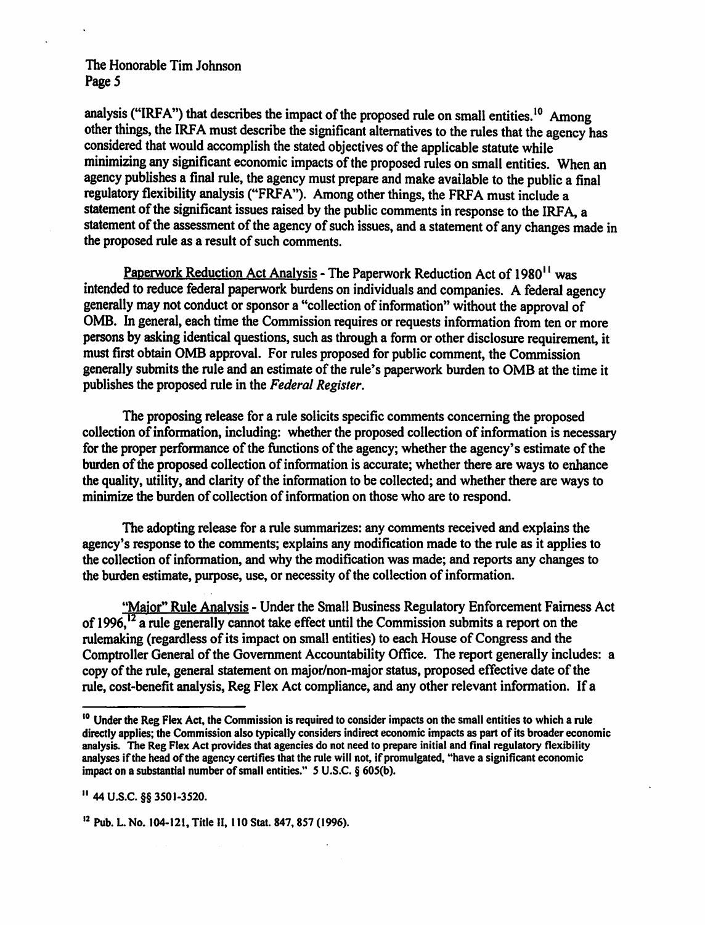analysis ("IRFA") that describes the impact of the proposed rule on small entities.<sup>10</sup> Among other things, the IRFA must describe the significant alternatives to the rules that the agency has considered that would accomplish the stated objectives of the applicable statute while minimizing any significant economic impacts of the proposed rules on small entities. When an agency publishes a final rule, the agency must prepare and make available to the public a final regulatory flexibility analysis ("FRFA"). Among other things, the FRFA must include a statement of the significant issues raised by the public comments in response to the IRFA, a statement of the assessment of the agency of such issues, and a statement of any changes made in the proposed rule as a result of such comments.

Paperwork Reduction Act Analysis - The Paperwork Reduction Act of 1980<sup>11</sup> was intended to reduce federal paperwork burdens on individuals and companies. A federal agency generally may not conduct or sponsor a "collection of information" without the approval of OMB. In general, each time the Commission requires or requests information from ten or more persons by asking identical questions, such as through a form or other disclosure requirement, it must first obtain OMB approval. For rules proposed for public comment, the Commission generally submits the rule and an estimate of the rule's paperwork burden to OMB at the time it publishes the proposed rule in the *Federal Register.* 

The proposing release for a rule solicits specific comments concerning the proposed collection of information, including: whether the proposed collection of information is necessary for the proper performance of the functions of the agency; whether the agency's estimate of the burden of the proposed collection of information is accurate; whether there are ways to enhance the quality, utility, and clarity of the information to be collected; and whether there are ways to minimize the burden of collection of information on those who are to respond.

The adopting release for a rule summarizes: any comments received and explains the agency's response to the comments; explains any modification made to the rule as it applies to the collection of information, and why the modification was made; and reports any changes to the burden estimate, purpose, use, or necessity of the collection of information.

"Maior" Rule Analysis - Under the Small Business Regulatory Enforcement Fairness Act of 1996, $\frac{12}{3}$  a rule generally cannot take effect until the Commission submits a report on the rulemaking (regardless of its impact on small entities) to each House of Congress and the Comptroller General of the Government Accountability Office. The report generally includes: a copy of the rule, general statement on major/non-major status, proposed effective date of the rule, cost-benefit analysis, Reg Flex Act compliance, and any other relevant information. If a

II 44 U.S.C. §§ 3501-3520.

12 Pub. L. No. 104-121, Title II, 110 Stat. 847, 857 (1996).

<sup>&</sup>lt;sup>10</sup> Under the Reg Flex Act, the Commission is required to consider impacts on the small entities to which a rule directly applies; the Commission also typically considers indirect economic impacts as part of its broader economic analysis. The Reg Flex Act provides that agencies do not need to prepare initial and final regulatory flexibility analyses if the head of the agency certifies that the rule will not, if promulgated, "have a significant economic impact on a substantial number of small entities." 5 U.S.C. § 605(b).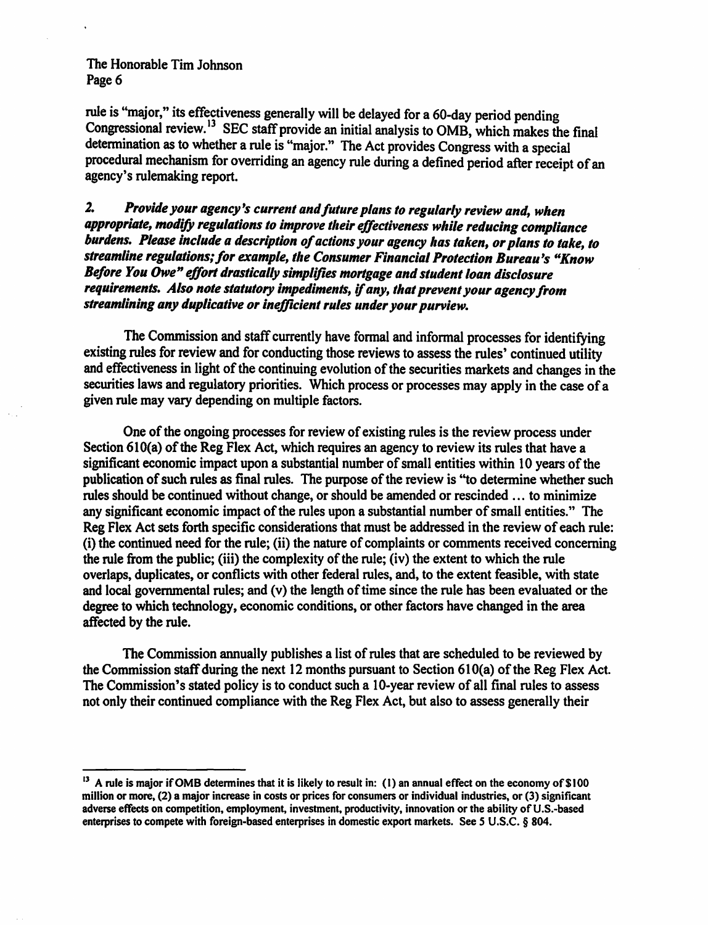rule is "major," its effectiveness generally will be delayed for a 60-day period pending Congressional review.<sup>13</sup> SEC staff provide an initial analysis to OMB, which makes the final determination as to whether a rule is "major." The Act provides Congress with a special procedural mechanism for overriding an agency rule during a defined period after receipt of an agency's rulemaking report.

*2. Provide your agency's current and future plans to regularly review and, when*  appropriate, modify regulations to improve their effectiveness while reducing compliance *burdens. Please include a description of actions your agency has taken, or plans to take, to streamline regulations; for example, the Consumer Financial Protection Bureau's "Know Before You Owe" effort drastically simplifies mortgage and student loan disclosure requirements. Also note statutory impediments, if any, that prevent your agency from streamlining any duplicative or inefficient rules under your purview.* 

The Commission and staff currently have formal and informal processes for identifying existing rules for review and for conducting those reviews to assess the rules' continued utility and effectiveness in light of the continuing evolution of the securities markets and changes in the securities laws and regulatory priorities. Which process or processes may apply in the case of a given rule may vary depending on multiple factors.

One of the ongoing processes for review of existing rules is the review process under Section 610(a) of the Reg Flex Act, which requires an agency to review its rules that have a significant economic impact upon a substantial number of small entities within 10 years of the publication of such rules as final rules. The purpose of the review is ''to determine whether such rules should be continued without change, or should be amended or rescinded ... to minimize any significant economic impact of the rules upon a substantial number of small entities." The Reg Flex Act sets forth specific considerations that must be addressed in the review of each rule: (i) the continued need for the rule; (ii) the nature of complaints or comments received concerning the rule from the public; (iii) the complexity of the rule; (iv) the extent to which the rule overlaps, duplicates, or conflicts with other federal rules, and, to the extent feasible, with state and local governmental rules; and (v) the length of time since the rule has been evaluated or the degree to which technology, economic conditions, or other factors have changed in the area affected by the rule.

The Commission annually publishes a list of rules that are scheduled to be reviewed by the Commission staff during the next 12 months pursuant to Section 610(a) of the Reg Flex Act. The Commission's stated policy is to conduct such a 10-year review of all final rules to assess not only their continued compliance with the Reg Flex Act, but also to assess generally their

<sup>&</sup>lt;sup>13</sup> A rule is major if OMB determines that it is likely to result in: (1) an annual effect on the economy of \$100 million or more, (2) a major increase in costs or prices for consumers or individual industries, or (3) significant adverse effects on competition, employment, investment, productivity, innovation or the ability of U.S.-based enterprises to compete with foreign-based enterprises in domestic export markets. See *S* U.S.C. § 804.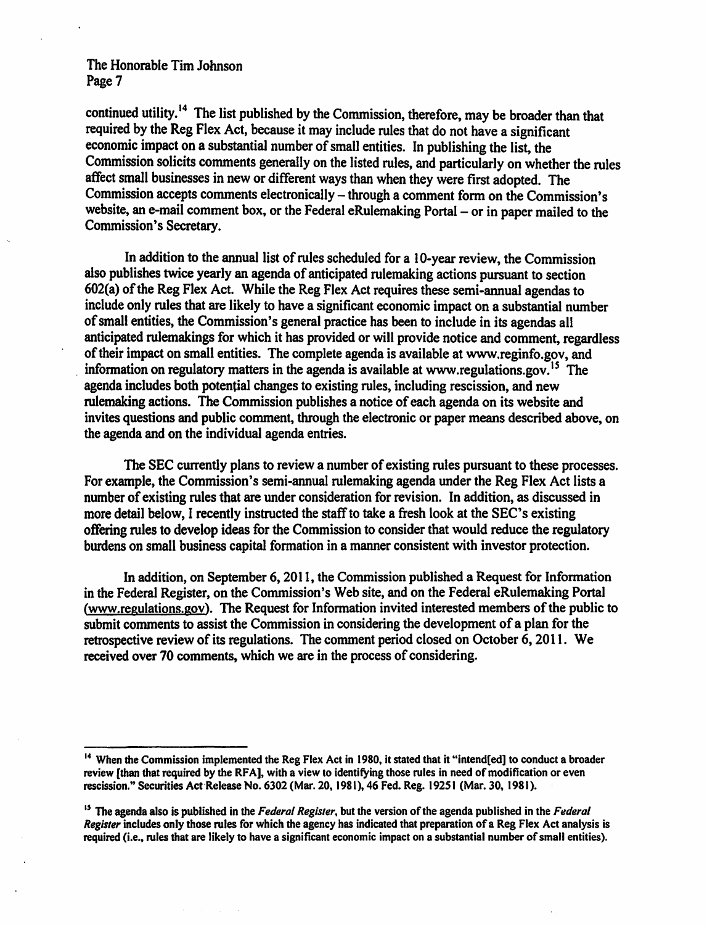continued utility.<sup>14</sup> The list published by the Commission, therefore, may be broader than that required by the Reg Flex Act, because it may include rules that do not have a significant economic impact on a substantial number of small entities. In publishing the list, the Commission solicits comments generally on the listed rules, and particularly on whether the rules affect small businesses in new or different ways than when they were first adopted. The Commission accepts comments electronically - through a comment form on the Commission's website, an e-mail comment box, or the Federal eRulemaking Portal - or in paper mailed to the Commission's Secretary.

In addition to the annual list of rules scheduled for a 10-year review, the Commission also publishes twice yearly an agenda of anticipated rulemaking actions pursuant to section 602(a) of the Reg Flex Act. While the Reg Flex Act requires these semi-annual agendas to include only rules that are likely to have a significant economic impact on a substantial number of small entities, the Commission's general practice has been to include in its agendas all anticipated rulemakings for which it has provided or will provide notice and comment, regardless of their impact on small entities. The complete agenda is available at www.reginfo.gov, and information on regulatory matters in the agenda is available at www.regulations.gov.<sup>15</sup> The agenda includes both potential changes to existing rules, including rescission, and new rulemaking actions. The Commission publishes a notice of each agenda on its website and invites questions and public comment, through the electronic or paper means described above, on the agenda and on the individual agenda entries.

The SEC currently plans to review a number of existing rules pursuant to these processes. For example, the Commission's semi-annual rulemaking agenda under the Reg Flex Act lists a number of existing rules that are under consideration for revision. In addition, as discussed in more detail below, I recently instructed the staff to take a fresh look at the SEC's existing offering rules to develop ideas for the Commission to consider that would reduce the regulatory burdens on small business capital formation in a manner consistent with investor protection.

In addition, on September 6, 2011, the Commission published a Request for Information in the Federal Register, on the Commission's Web site, and on the Federal eRulemaking Portal (www.regulations.gov). The Request for Information invited interested members of the public to submit comments to assist the Commission in considering the development of a plan for the retrospective review of its regulations. The comment period closed on October 6, 2011. We received over 70 comments, which we are in the process of considering.

<sup>&</sup>lt;sup>14</sup> When the Commission implemented the Reg Flex Act in 1980, it stated that it "intend[ed] to conduct a broader review (than that required by the RFA], with a view to identifying those rules in need of modification or even rescission." Securities Act Release No. 6302 (Mar. 20, 1981), 46 Fed. Reg. 19251 (Mar. 30, 1981).

<sup>15</sup>The agenda also is published in the *Federal Register,* but the version of the agenda published in the *Federal Register* includes only those rules for which the agency has indicated that preparation of a Reg Flex Act analysis is required (i.e., rules that are likely to have a significant economic impact on a substantial number of small entities).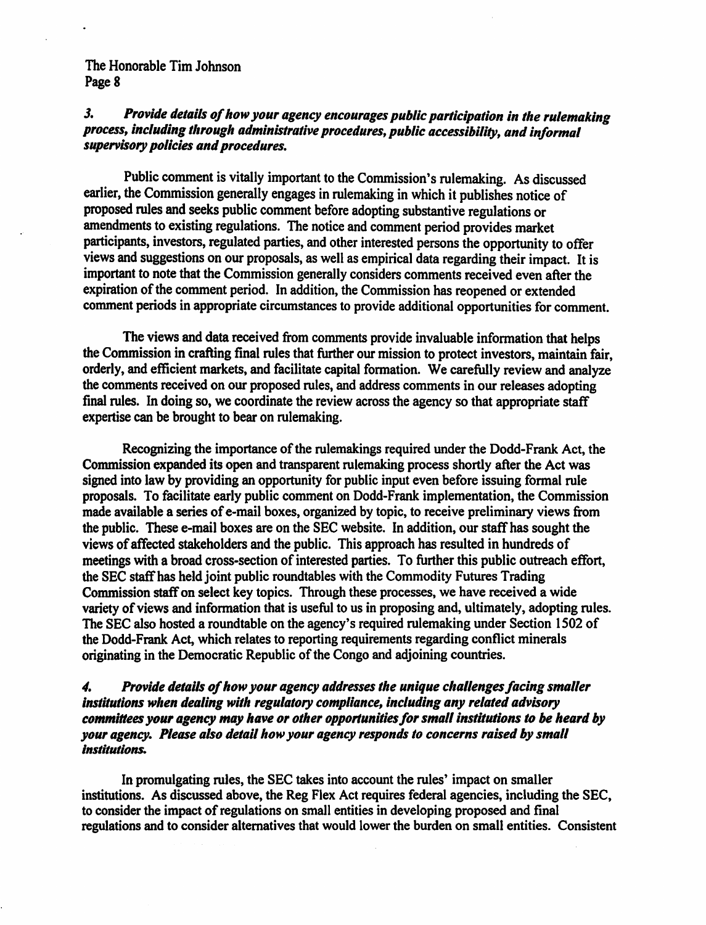## J. *Provide details of how your agency encourages public participation in the rulemaking process, including tlirough administrative procedures, public accessibility, and informal supervisory policies and procedures.*

Public comment is vitally important to the Commission's rulemaking. As discussed earlier, the Commission generally engages in rulemaking in which it publishes notice of proposed rules and seeks public comment before adopting substantive regulations or amendments to existing regulations. The notice and comment period provides market participants, investors, regulated parties, and other interested persons the opportunity to offer views and suggestions on our proposals, as well as empirical data regarding their impact. It is important to note that the Commission generally considers comments received even after the expiration of the comment period. In addition, the Commission has reopened or extended comment periods in appropriate circumstances to provide additional opportunities for comment.

The views and data received from comments provide invaluable information that helps the Commission in crafting final rules that further our mission to protect investors, maintain fair, orderly, and efficient markets, and facilitate capital formation. We carefully review and analyze the comments received on our proposed rules, and address comments in our releases adopting final rules. In doing so, we coordinate the review across the agency so that appropriate staff expertise can be brought to bear on rulemaking.

Recognizing the importance of the rulemakings required under the Dodd-Frank Act, the Commission expanded its open and transparent rulemaking process shortly after the Act was signed into law by providing an opportunity for public input even before issuing formal rule proposals. To facilitate early public comment on Dodd-Frank implementation, the Commission made available a series of e-mail boxes, organized by topic, to receive preliminary views from the public. These e-mail boxes are on the SEC website. In addition, our staff has sought the views of affected stakeholders and the public. This approach has resulted in hundreds of meetings with a broad cross-section of interested parties. To further this public outreach effort, the SEC staff has held joint public roundtables with the Commodity Futures Trading Commission staff on select key topics. Through these processes, we have received a wide variety of views and information that is useful to us in proposing and, ultimately, adopting rules. The SEC also hosted a roundtable on the agency's required rulemaking under Section 1502 of the Dodd-Frank Act, which relates to reporting requirements regarding conflict minerals originating in the Democratic Republic of the Congo and adjoining countries.

## 4. Provide details of how your agency addresses the unique challenges facing smaller *institutions when dealing with regulatory compliance, including any related advisory committees your agency may have or other opportunities for small institutions to* be *heard by your agency. Please also detail how your agency responds to concerns raised by small Institutions.*

In promulgating rules, the SEC takes into account the rules' impact on smaller institutions. As discussed above, the Reg Flex Act requires federal agencies, including the SEC, to consider the impact of regulations on small entities in developing proposed and final regulations and to consider alternatives that would lower the burden on small entities. Consistent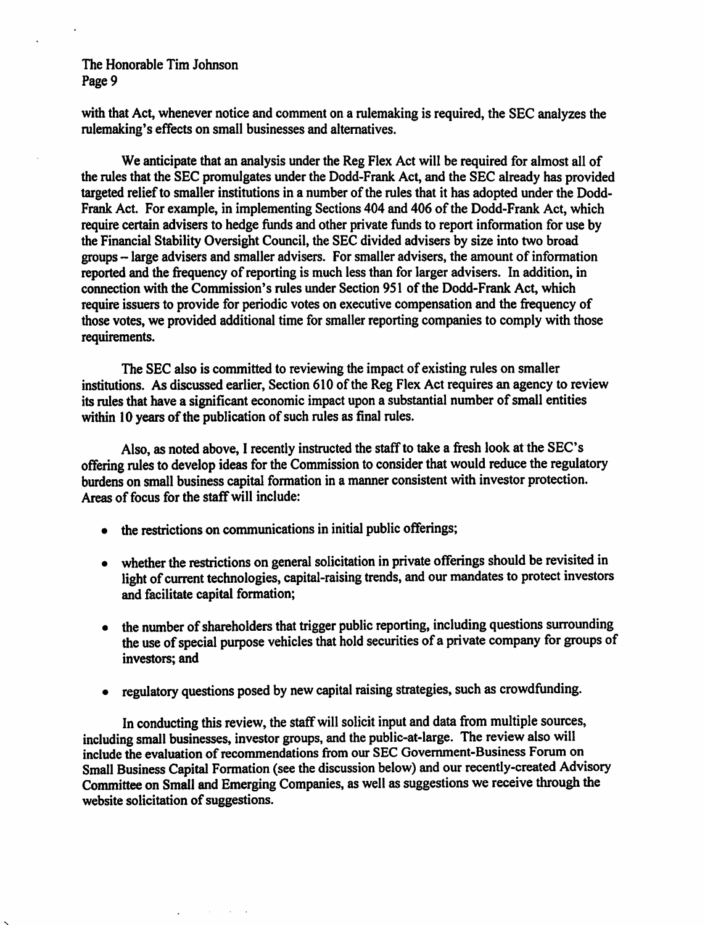with that Act, whenever notice and comment on a rulemaking is required, the SEC analyzes the rulemaking's effects on small businesses and alternatives.

We anticipate that an analysis under the Reg Flex Act will be required for almost all of the rules that the SEC promulgates under the Dodd-Frank Act, and the SEC already has provided targeted relief to smaller institutions in a number of the rules that it has adopted under the Dodd-Frank Act. For example, in implementing Sections 404 and 406 of the Dodd-Frank Act, which require certain advisers to hedge funds and other private funds to report information for use by the Financial Stability Oversight Council, the SEC divided advisers by size into two broad groups - large advisers and smaller advisers. For smaller advisers, the amount of information reported and the frequency of reporting is much less than for larger advisers. In addition, in connection with the Commission's rules under Section 951 of the Dodd-Frank Act, which require issuers to provide for periodic votes on executive compensation and the frequency of those votes, we provided additional time for smaller reporting companies to comply with those requirements.

The SEC also is committed to reviewing the impact of existing rules on smaller institutions. As discussed earlier, Section 610 of the Reg Flex Act requires an agency to review its rules that have a significant economic impact upon a substantial number of small entities within 10 years of the publication of such rules as final rules.

Also, as noted above, I recently instructed the staff to take a fresh look at the SEC's offering rules to develop ideas for the Commission to consider that would reduce the regulatory burdens on small business capital formation in a manner consistent with investor protection. Areas of focus for the staff will include:

• the restrictions on communications in initial public offerings;

 $\mathcal{L}_{\text{max}}$  , where  $\mathcal{L}_{\text{max}}$ 

- whether the restrictions on general solicitation in private offerings should be revisited in light of current technologies, capital-raising trends, and our mandates to protect investors and facilitate capital formation;
- the number of shareholders that trigger public reporting, including questions surrounding the use of special purpose vehicles that hold securities of a private company for groups of investors; and
- regulatory questions posed by new capital raising strategies, such as crowdfunding.

In conducting this review, the staff will solicit input and data from multiple sources, including small businesses, investor groups, and the public-at-large. The review also will include the evaluation of recommendations from our SEC Government-Business Forum on Small Business Capital Formation (see the discussion below) and our recently-created Advisory Committee on Small and Emerging Companies, as well as suggestions we receive through the website solicitation of suggestions.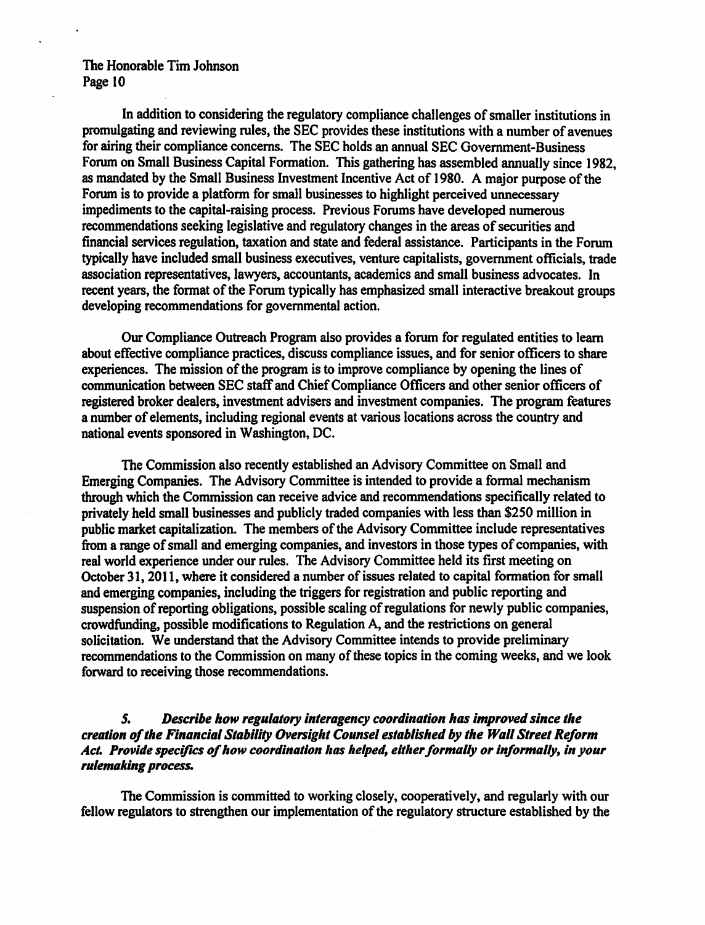In addition to considering the regulatory compliance challenges of smaller institutions in promulgating and reviewing rules, the SEC provides these institutions with a number of avenues for airing their compliance concerns. The SEC holds an annual SEC Government-Business Forum on Small Business Capital Formation. This gathering has assembled annually since 1982, as mandated by the Small Business Investment Incentive Act of 1980. A major purpose of the Forum is to provide a platform for small businesses to highlight perceived unnecessary impediments to the capital-raising process. Previous Forums have developed numerous recommendations seeking legislative and regulatory changes in the areas of securities and financial services regulation, taxation and state and federal assistance. Participants in the Forum typically have included small business executives, venture capitalists, government officials, trade association representatives, lawyers, accountants, academics and small business advocates. In recent years, the format of the Forum typically has emphasized small interactive breakout groups developing recommendations for governmental action.

Our Compliance Outreach Program also provides a forum for regulated entities to learn about effective compliance practices, discuss compliance issues, and for senior officers to share experiences. The mission of the program is to improve compliance by opening the lines of communication between SEC staff and Chief Compliance Officers and other senior officers of registered broker dealers, investment advisers and investment companies. The program features a number of elements, including regional events at various locations across the country and national events sponsored in Washington, DC.

The Commission also recently established an Advisory Committee on Small and Emerging Companies. The Advisory Committee is intended to provide a formal mechanism through which the Commission can receive advice and recommendations specifically related to privately held small businesses and publicly traded companies with less than \$250 million in public market capitalization. The members of the Advisory Committee include representatives from a range of small and emerging companies, and investors in those types of companies, with real world experience under our rules. The Advisory Committee held its first meeting on October 31, 2011, where it considered a number of issues related to capital formation for small and emerging companies, including the triggers for registration and public reporting and suspension of reporting obligations, possible scaling of regulations for newly public companies, crowdfunding, possible modifications to Regulation A, and the restrictions on general solicitation. We understand that the Advisory Committee intends to provide preliminary recommendations to the Commission on many of these topics in the coming weeks, and we look forward to receiving those recommendations.

## *5. Describe how regulatory interagency coordination has improved since the creation of the Financial Stability Oversight Counsel established* by *the Wall Street Reform*  Act. Provide specifics of how coordination has helped, either formally or informally, in your *rulemaking process.*

The Commission is committed to working closely, cooperatively, and regularly with our fellow regulators to strengthen our implementation of the regulatory structure established by the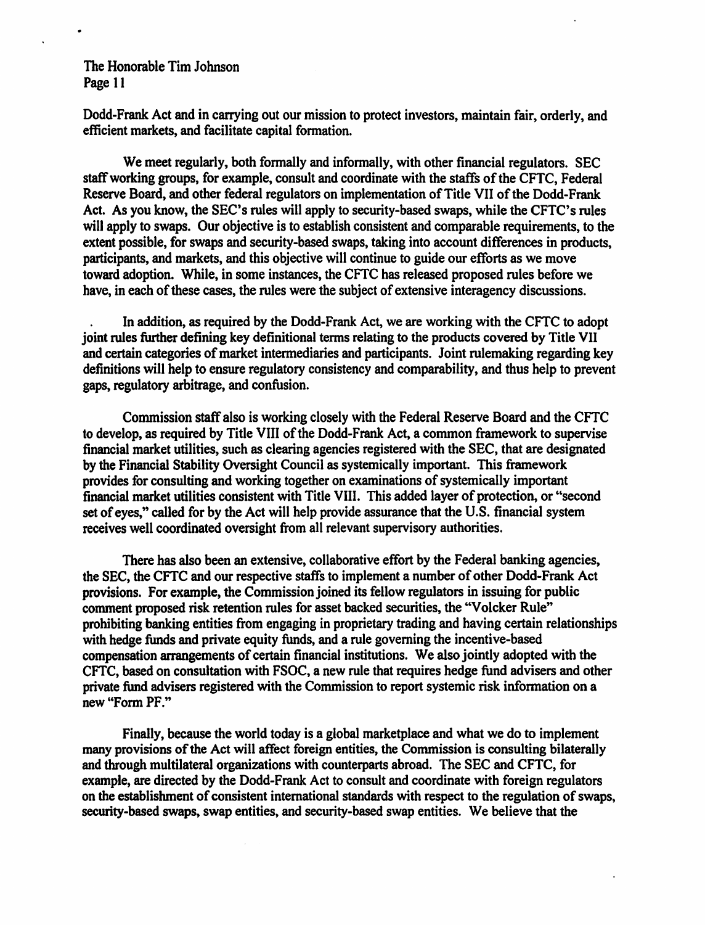Dodd-Frank Act and in carrying out our mission to protect investors, maintain fair, orderly, and efficient markets, and facilitate capital formation.

We meet regularly, both formally and informally, with other financial regulators. SEC staff working groups, for example, consult and coordinate with the staffs of the CFTC, Federal Reserve Board, and other federal regulators on implementation of Title VII of the Dodd-Frank Act. As you know, the SEC's rules will apply to security-based swaps, while the CFTC's rules will apply to swaps. Our objective is to establish consistent and comparable requirements, to the extent possible, for swaps and security-based swaps, taking into account differences in products, participants, and markets, and this objective will continue to guide our efforts as we move toward adoption. While, in some instances, the CFTC has released proposed rules before we have, in each of these cases, the rules were the subject of extensive interagency discussions.

In addition, as required by the Dodd-Frank Act, we are working with the CFTC to adopt joint rules further defining key definitional terms relating to the products covered by Title VII and certain categories of market intermediaries and participants. Joint rulemaking regarding key definitions will help to ensure regulatory consistency and comparability, and thus help to prevent gaps, regulatory arbitrage, and confusion.

Commission staff also is working closely with the Federal Reserve Board and the CFTC to develop, as required by Title VIII of the Dodd-Frank Act, a common framework to supervise financial market utilities, such as clearing agencies registered with the SEC, that are designated by the Financial Stability Oversight Council as systemically important. This framework provides for consulting and working together on examinations of systemically important financial market utilities consistent with Title VIII. This added layer of protection, or "second set of eyes," called for by the Act will help provide assurance that the U.S. financial system receives well coordinated oversight from all relevant supervisory authorities.

There has also been an extensive, collaborative effort by the Federal banking agencies, the SEC, the CFTC and our respective staffs to implement a number of other Dodd-Frank Act provisions. For example, the Commission joined its fellow regulators in issuing for public comment proposed risk retention rules for asset backed securities, the "Volcker Rule" prohibiting banking entities from engaging in proprietary trading and having certain relationships with hedge funds and private equity funds, and a rule governing the incentive-based compensation arrangements of certain financial institutions. We also jointly adopted with the CFTC, based on consultation with FSOC, a new rule that requires hedge fund advisers and other private fund advisers registered with the Commission to report systemic risk information on a new "Fonn PF."

Finally, because the world today is a global marketplace and what we do to implement many provisions of the Act will affect foreign entities, the Commission is consulting bilaterally and through multilateral organizations with counterparts abroad. The SEC and CFTC, for example, are directed by the Dodd-Frank Act to consult and coordinate with foreign regulators on the establishment of consistent international standards with respect to the regulation of swaps, security-based swaps, swap entities, and security-based swap entities. We believe that the